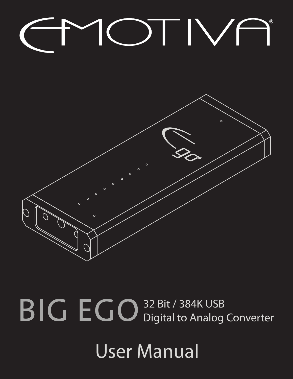# OTIVA



BIG EGO 32 Bit / 384K USB Converter

**User Manual**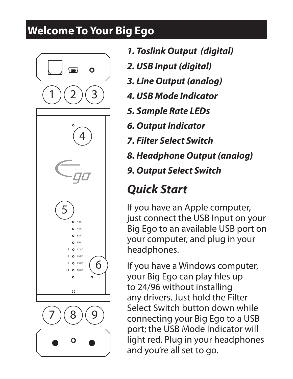# **Welcome To Your Big Ego**



- *1. Toslink Output (digital)*
- *2. USB Input (digital)*
- *3. Line Output (analog)*
- *4. USB Mode Indicator*
- *5. Sample Rate LEDs*
- *6. Output Indicator*
- *7. Filter Select Switch*
- *8. Headphone Output (analog)*
- *9. Output Select Switch*

# *Quick Start*

If you have an Apple computer, just connect the USB Input on your Big Ego to an available USB port on your computer, and plug in your headphones.

If you have a Windows computer, your Big Ego can play files up to 24/96 without installing any drivers. Just hold the Filter Select Switch button down while connecting your Big Ego to a USB port; the USB Mode Indicator will light red. Plug in your headphones and you're all set to go.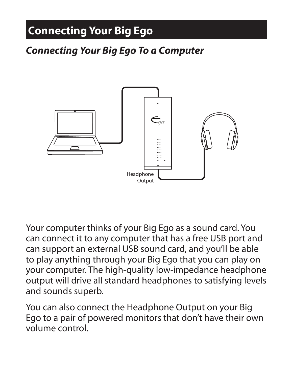# **Connecting Your Big Ego**

#### *Connecting Your Big Ego To a Computer*



Your computer thinks of your Big Ego as a sound card. You can connect it to any computer that has a free USB port and can support an external USB sound card, and you'll be able to play anything through your Big Ego that you can play on your computer. The high-quality low-impedance headphone output will drive all standard headphones to satisfying levels and sounds superb.

You can also connect the Headphone Output on your Big Ego to a pair of powered monitors that don't have their own volume control.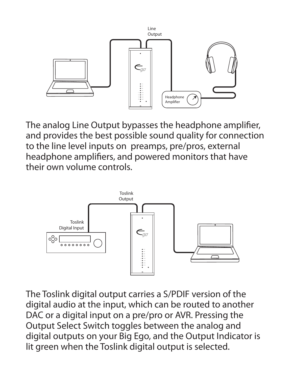

The analog Line Output bypasses the headphone amplifier, and provides the best possible sound quality for connection to the line level inputs on preamps, pre/pros, external headphone amplifiers, and powered monitors that have their own volume controls.



The Toslink digital output carries a S/PDIF version of the digital audio at the input, which can be routed to another DAC or a digital input on a pre/pro or AVR. Pressing the Output Select Switch toggles between the analog and digital outputs on your Big Ego, and the Output Indicator is lit green when the Toslink digital output is selected.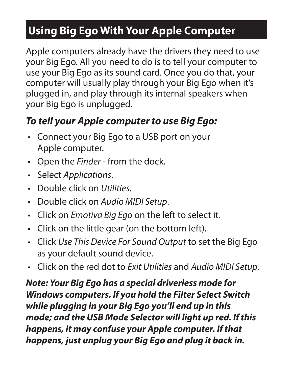# **Using Big Ego With Your Apple Computer**

Apple computers already have the drivers they need to use your Big Ego. All you need to do is to tell your computer to use your Big Ego as its sound card. Once you do that, your computer will usually play through your Big Ego when it's plugged in, and play through its internal speakers when your Big Ego is unplugged.

### *To tell your Apple computer to use Big Ego:*

- Connect your Big Ego to a USB port on your Apple computer.
- • Open the *Finder* from the dock.
- • Select *Applications*.
- • Double click on *Utilities*.
- • Double click on *Audio MIDI Setup*.
- • Click on *Emotiva Big Ego* on the left to select it.
- Click on the little gear (on the bottom left).
- • Click *Use This Device For Sound Output* to set the Big Ego as your default sound device.
- • Click on the red dot to *Exit Utilities* and *Audio MIDI Setup*.

*Note: Your Big Ego has a special driverless mode for Windows computers. If you hold the Filter Select Switch while plugging in your Big Ego you'll end up in this mode; and the USB Mode Selector will light up red. If this happens, it may confuse your Apple computer. If that happens, just unplug your Big Ego and plug it back in.*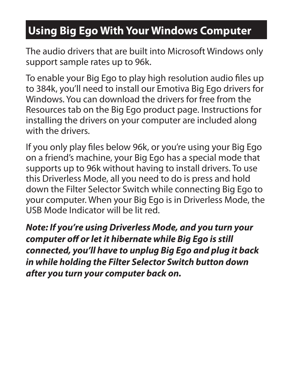# **Using Big Ego With Your Windows Computer**

The audio drivers that are built into Microsoft Windows only support sample rates up to 96k.

To enable your Big Ego to play high resolution audio files up to 384k, you'll need to install our Emotiva Big Ego drivers for Windows. You can download the drivers for free from the Resources tab on the Big Ego product page. Instructions for installing the drivers on your computer are included along with the drivers.

If you only play files below 96k, or you're using your Big Ego on a friend's machine, your Big Ego has a special mode that supports up to 96k without having to install drivers. To use this Driverless Mode, all you need to do is press and hold down the Filter Selector Switch while connecting Big Ego to your computer. When your Big Ego is in Driverless Mode, the USB Mode Indicator will be lit red.

*Note: If you're using Driverless Mode, and you turn your computer off or let it hibernate while Big Ego is still connected, you'll have to unplug Big Ego and plug it back in while holding the Filter Selector Switch button down after you turn your computer back on.*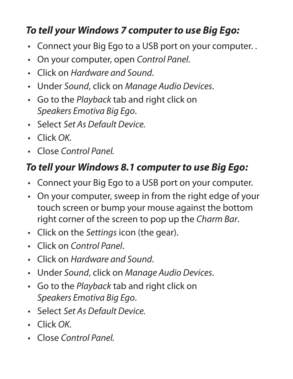#### *To tell your Windows 7 computer to use Big Ego:*

- Connect your Big Ego to a USB port on your computer..
- • On your computer, open *Control Panel*.
- • Click on *Hardware and Sound*.
- • Under *Sound*, click on *Manage Audio Devices*.
- • Go to the *Playback* tab and right click on *Speakers Emotiva Big Ego*.
- • Select *Set As Default Device.*
- • Click *OK.*
- • Close *Control Panel.*

## *To tell your Windows 8.1 computer to use Big Ego:*

- Connect your Big Ego to a USB port on your computer.
- On your computer, sweep in from the right edge of your touch screen or bump your mouse against the bottom right corner of the screen to pop up the *Charm Bar*.
- • Click on the *Settings* icon (the gear).
- • Click on *Control Panel*.
- • Click on *Hardware and Sound*.
- • Under *Sound*, click on *Manage Audio Devices*.
- • Go to the *Playback* tab and right click on *Speakers Emotiva Big Ego*.
- • Select *Set As Default Device.*
- • Click *OK.*
- • Close *Control Panel.*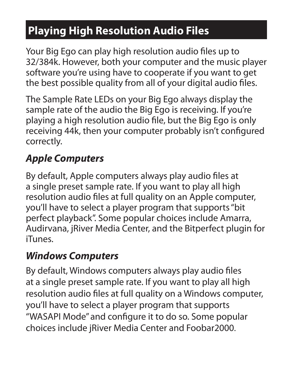# **Playing High Resolution Audio Files**

Your Big Ego can play high resolution audio files up to 32/384k. However, both your computer and the music player software you're using have to cooperate if you want to get the best possible quality from all of your digital audio files.

The Sample Rate LEDs on your Big Ego always display the sample rate of the audio the Big Ego is receiving. If you're playing a high resolution audio file, but the Big Ego is only receiving 44k, then your computer probably isn't configured correctly.

## *Apple Computers*

By default, Apple computers always play audio files at a single preset sample rate. If you want to play all high resolution audio files at full quality on an Apple computer, you'll have to select a player program that supports "bit perfect playback". Some popular choices include Amarra, Audirvana, jRiver Media Center, and the Bitperfect plugin for iTunes.

#### *Windows Computers*

By default, Windows computers always play audio files at a single preset sample rate. If you want to play all high resolution audio files at full quality on a Windows computer, you'll have to select a player program that supports "WASAPI Mode" and configure it to do so. Some popular choices include jRiver Media Center and Foobar2000.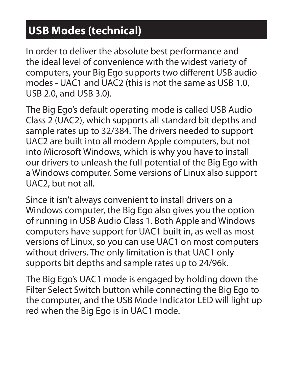# **USB Modes (technical)**

In order to deliver the absolute best performance and the ideal level of convenience with the widest variety of computers, your Big Ego supports two different USB audio modes - UAC1 and UAC2 (this is not the same as USB 1.0, USB 2.0, and USB 3.0).

The Big Ego's default operating mode is called USB Audio Class 2 (UAC2), which supports all standard bit depths and sample rates up to 32/384. The drivers needed to support UAC2 are built into all modern Apple computers, but not into Microsoft Windows, which is why you have to install our drivers to unleash the full potential of the Big Ego with a Windows computer. Some versions of Linux also support UAC2, but not all.

Since it isn't always convenient to install drivers on a Windows computer, the Big Ego also gives you the option of running in USB Audio Class 1. Both Apple and Windows computers have support for UAC1 built in, as well as most versions of Linux, so you can use UAC1 on most computers without drivers. The only limitation is that UAC1 only supports bit depths and sample rates up to 24/96k.

The Big Ego's UAC1 mode is engaged by holding down the Filter Select Switch button while connecting the Big Ego to the computer, and the USB Mode Indicator LED will light up red when the Big Ego is in UAC1 mode.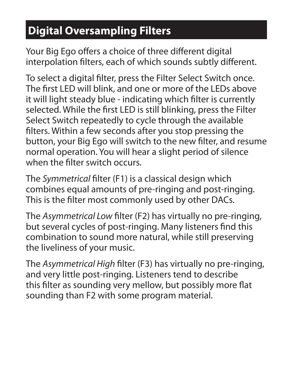# **Digital Oversampling Filters**

Your Big Ego offers a choice of three different digital interpolation filters, each of which sounds subtly different.

To select a digital filter, press the Filter Select Switch once. The first LED will blink, and one or more of the LEDs above it will light steady blue - indicating which filter is currently selected. While the first LED is still blinking, press the Filter Select Switch repeatedly to cycle through the available filters. Within a few seconds after you stop pressing the button, your Big Ego will switch to the new filter, and resume normal operation. You will hear a slight period of silence when the filter switch occurs.

The *Symmetrical* filter (F1) is a classical design which combines equal amounts of pre-ringing and post-ringing. This is the filter most commonly used by other DACs.

The *Asymmetrical Low* filter (F2) has virtually no pre-ringing, but several cycles of post-ringing. Many listeners find this combination to sound more natural, while still preserving the liveliness of your music.

The *Asymmetrical High* filter (F3) has virtually no pre-ringing, and very little post-ringing. Listeners tend to describe this filter as sounding very mellow, but possibly more flat sounding than F2 with some program material.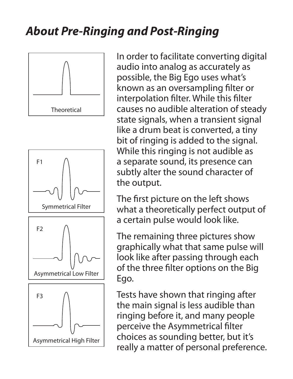# *About Pre-Ringing and Post-Ringing*





Asymmetrical High Filter

In order to facilitate converting digital audio into analog as accurately as possible, the Big Ego uses what's known as an oversampling filter or interpolation filter. While this filter causes no audible alteration of steady state signals, when a transient signal like a drum beat is converted, a tiny bit of ringing is added to the signal. While this ringing is not audible as a separate sound, its presence can subtly alter the sound character of the output.

The first picture on the left shows what a theoretically perfect output of a certain pulse would look like.

The remaining three pictures show graphically what that same pulse will look like after passing through each of the three filter options on the Big Ego.

Tests have shown that ringing after the main signal is less audible than ringing before it, and many people perceive the Asymmetrical filter choices as sounding better, but it's really a matter of personal preference.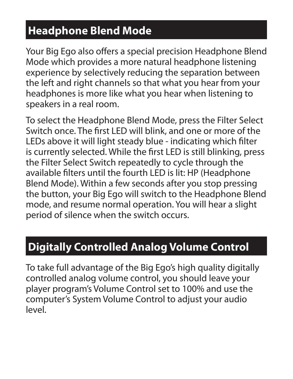# **Headphone Blend Mode**

Your Big Ego also offers a special precision Headphone Blend Mode which provides a more natural headphone listening experience by selectively reducing the separation between the left and right channels so that what you hear from your headphones is more like what you hear when listening to speakers in a real room.

To select the Headphone Blend Mode, press the Filter Select Switch once. The first LED will blink, and one or more of the LEDs above it will light steady blue - indicating which filter is currently selected. While the first LED is still blinking, press the Filter Select Switch repeatedly to cycle through the available filters until the fourth LED is lit: HP (Headphone Blend Mode). Within a few seconds after you stop pressing the button, your Big Ego will switch to the Headphone Blend mode, and resume normal operation. You will hear a slight period of silence when the switch occurs.

## **Digitally Controlled Analog Volume Control**

To take full advantage of the Big Ego's high quality digitally controlled analog volume control, you should leave your player program's Volume Control set to 100% and use the computer's System Volume Control to adjust your audio level.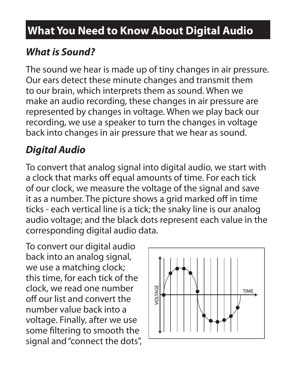# **What You Need to Know About Digital Audio**

## *What is Sound?*

The sound we hear is made up of tiny changes in air pressure. Our ears detect these minute changes and transmit them to our brain, which interprets them as sound. When we make an audio recording, these changes in air pressure are represented by changes in voltage. When we play back our recording, we use a speaker to turn the changes in voltage back into changes in air pressure that we hear as sound.

## *Digital Audio*

To convert that analog signal into digital audio, we start with a clock that marks off equal amounts of time. For each tick of our clock, we measure the voltage of the signal and save it as a number. The picture shows a grid marked off in time ticks - each vertical line is a tick; the snaky line is our analog audio voltage; and the black dots represent each value in the corresponding digital audio data.

To convert our digital audio back into an analog signal, we use a matching clock; this time, for each tick of the clock, we read one number off our list and convert the number value back into a voltage. Finally, after we use some filtering to smooth the signal and "connect the dots",

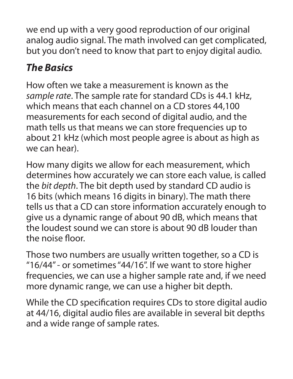we end up with a very good reproduction of our original analog audio signal. The math involved can get complicated, but you don't need to know that part to enjoy digital audio.

## *The Basics*

How often we take a measurement is known as the *sample rate*. The sample rate for standard CDs is 44.1 kHz, which means that each channel on a CD stores 44,100 measurements for each second of digital audio, and the math tells us that means we can store frequencies up to about 21 kHz (which most people agree is about as high as we can hear).

How many digits we allow for each measurement, which determines how accurately we can store each value, is called the *bit depth*. The bit depth used by standard CD audio is 16 bits (which means 16 digits in binary). The math there tells us that a CD can store information accurately enough to give us a dynamic range of about 90 dB, which means that the loudest sound we can store is about 90 dB louder than the noise floor.

Those two numbers are usually written together, so a CD is "16/44" - or sometimes "44/16". If we want to store higher frequencies, we can use a higher sample rate and, if we need more dynamic range, we can use a higher bit depth.

While the CD specification requires CDs to store digital audio at 44/16, digital audio files are available in several bit depths and a wide range of sample rates.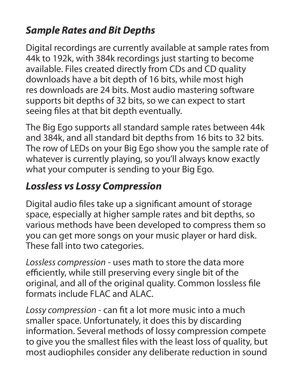### *Sample Rates and Bit Depths*

Digital recordings are currently available at sample rates from 44k to 192k, with 384k recordings just starting to become available. Files created directly from CDs and CD quality downloads have a bit depth of 16 bits, while most high res downloads are 24 bits. Most audio mastering software supports bit depths of 32 bits, so we can expect to start seeing files at that bit depth eventually.

The Big Ego supports all standard sample rates between 44k and 384k, and all standard bit depths from 16 bits to 32 bits. The row of LEDs on your Big Ego show you the sample rate of whatever is currently playing, so you'll always know exactly what your computer is sending to your Big Ego.

#### *Lossless vs Lossy Compression*

Digital audio files take up a significant amount of storage space, especially at higher sample rates and bit depths, so various methods have been developed to compress them so you can get more songs on your music player or hard disk. These fall into two categories.

*Lossless compression* - uses math to store the data more efficiently, while still preserving every single bit of the original, and all of the original quality. Common lossless file formats include FLAC and ALAC.

*Lossy compression* - can fit a lot more music into a much smaller space. Unfortunately, it does this by discarding information. Several methods of lossy compression compete to give you the smallest files with the least loss of quality, but most audiophiles consider any deliberate reduction in sound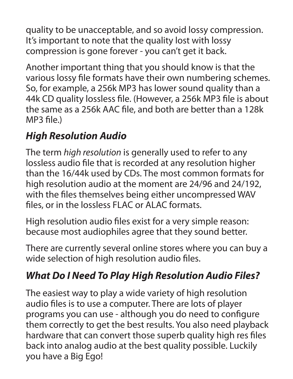quality to be unacceptable, and so avoid lossy compression. It's important to note that the quality lost with lossy compression is gone forever - you can't get it back.

Another important thing that you should know is that the various lossy file formats have their own numbering schemes. So, for example, a 256k MP3 has lower sound quality than a 44k CD quality lossless file. (However, a 256k MP3 file is about the same as a 256k AAC file, and both are better than a 128k MP3 file.)

#### *High Resolution Audio*

The term *high resolution* is generally used to refer to any lossless audio file that is recorded at any resolution higher than the 16/44k used by CDs. The most common formats for high resolution audio at the moment are 24/96 and 24/192, with the files themselves being either uncompressed WAV files, or in the lossless FLAC or ALAC formats.

High resolution audio files exist for a very simple reason: because most audiophiles agree that they sound better.

There are currently several online stores where you can buy a wide selection of high resolution audio files.

## *What Do I Need To Play High Resolution Audio Files?*

The easiest way to play a wide variety of high resolution audio files is to use a computer. There are lots of player programs you can use - although you do need to configure them correctly to get the best results. You also need playback hardware that can convert those superb quality high res files back into analog audio at the best quality possible. Luckily you have a Big Ego!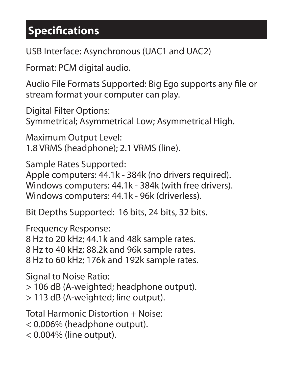# **Specifications**

USB Interface: Asynchronous (UAC1 and UAC2)

Format: PCM digital audio.

Audio File Formats Supported: Big Ego supports any file or stream format your computer can play.

Digital Filter Options: Symmetrical; Asymmetrical Low; Asymmetrical High.

Maximum Output Level: 1.8 VRMS (headphone); 2.1 VRMS (line).

Sample Rates Supported: Apple computers: 44.1k - 384k (no drivers required). Windows computers: 44.1k - 384k (with free drivers). Windows computers: 44.1k - 96k (driverless).

Bit Depths Supported: 16 bits, 24 bits, 32 bits.

Frequency Response: 8 Hz to 20 kHz; 44.1k and 48k sample rates. 8 Hz to 40 kHz; 88.2k and 96k sample rates. 8 Hz to 60 kHz; 176k and 192k sample rates.

Signal to Noise Ratio: > 106 dB (A-weighted; headphone output). > 113 dB (A-weighted; line output).

Total Harmonic Distortion + Noise: < 0.006% (headphone output). < 0.004% (line output).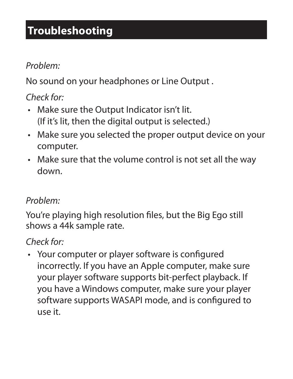# **Troubleshooting**

#### *Problem:*

No sound on your headphones or Line Output .

#### *Check for:*

- Make sure the Output Indicator isn't lit. (If it's lit, then the digital output is selected.)
- Make sure you selected the proper output device on your computer.
- Make sure that the volume control is not set all the way down.

#### *Problem:*

You're playing high resolution files, but the Big Ego still shows a 44k sample rate.

#### *Check for:*

• Your computer or player software is configured incorrectly. If you have an Apple computer, make sure your player software supports bit-perfect playback. If you have a Windows computer, make sure your player software supports WASAPI mode, and is configured to use it.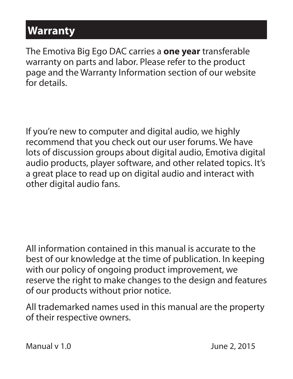## **Warranty**

The Emotiva Big Ego DAC carries a **one year** transferable warranty on parts and labor. Please refer to the product page and the Warranty Information section of our website for details.

If you're new to computer and digital audio, we highly recommend that you check out our user forums. We have lots of discussion groups about digital audio, Emotiva digital audio products, player software, and other related topics. It's a great place to read up on digital audio and interact with other digital audio fans.

All information contained in this manual is accurate to the best of our knowledge at the time of publication. In keeping with our policy of ongoing product improvement, we reserve the right to make changes to the design and features of our products without prior notice.

All trademarked names used in this manual are the property of their respective owners.

Manual v 1.0 June 2, 2015